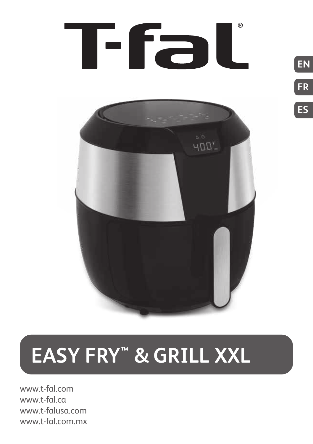

**EN**

**FR**

**ES**



**EASY FRY™ & GRILL XXL**

www.t-fal.com www.t-fal.ca www.t-falusa.com www.t-fal.com.mx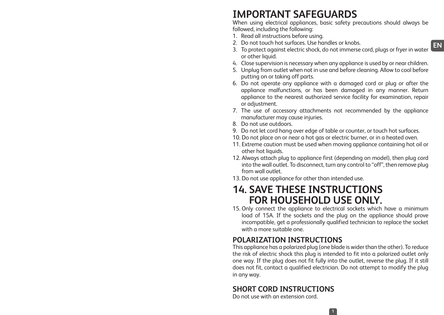# **IMPORTANT SAFEGUARDS**

When using electrical appliances, basic safety precautions should always be followed, including the following:

- 1. Read all instructions before using.
- 2. Do not touch hot surfaces. Use handles or knobs.
- 3. To protect against electric shock, do not immerse cord, plugs or fryer in water or other liquid.
- 4. Close supervision is necessary when any appliance is used by or near children.
- 5. Unplug from outlet when not in use and before cleaning. Allow to cool before putting on or taking off parts.
- 6. Do not operate any appliance with a damaged cord or plug or after the appliance malfunctions, or has been damaged in any manner. Return appliance to the nearest authorized service facility for examination, repair or adjustment.
- 7. The use of accessory attachments not recommended by the appliance manufacturer may cause injuries.
- 8. Do not use outdoors.
- 9. Do not let cord hang over edge of table or counter, or touch hot surfaces.
- 10. Do not place on or near a hot gas or electric burner, or in a heated oven.
- 11. Extreme caution must be used when moving appliance containing hot oil or other hot liquids.
- 12. Always attach plug to appliance first (depending on model), then plug cord into the wall outlet. To disconnect, turn any control to "off", then remove plug from wall outlet.
- 13. Do not use appliance for other than intended use.

## **14. SAVE THESE INSTRUCTIONS FOR HOUSEHOLD USE ONLY.**

15. Only connect the appliance to electrical sockets which have a minimum load of 15A. If the sockets and the plug on the appliance should prove incompatible, get a professionally qualified technician to replace the socket with a more suitable one.

### **POLARIZATION INSTRUCTIONS**

This appliance has a polarized plug (one blade is wider than the other). To reduce the risk of electric shock this plug is intended to fit into a polarized outlet only one way. If the plug does not fit fully into the outlet, reverse the plug. If it still does not fit, contact a qualified electrician. Do not attempt to modify the plug in any way.

**1**

### **SHORT CORD INSTRUCTIONS**

Do not use with an extension cord.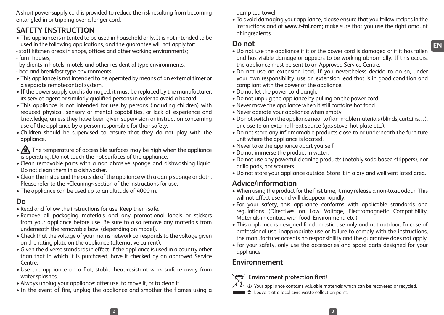A short power-supply cord is provided to reduce the risk resulting from becoming entangled in or tripping over a longer cord.

## **SAFETY INSTRUCTION**

- This appliance is intented to be used in household only. It is not intended to be used in the following applications, and the guarantee will not apply for:
- staff kitchen areas in shops, offices and other working environments;
- farm houses;
- by clients in hotels, motels and other residential type environments;
- bed and breakfast type environments.
- This appliance is not intended to be operated by means of an external timer or a separate remotecontrol system.
- If the power supply cord is damaged, it must be replaced by the manufacturer, its service agent or similarly qualified persons in order to avoid a hazard.
- This appliance is not intended for use by persons (including children) with reduced physical, sensory or mental capabilities, or lack of experience and knowledge, unless they have been given supervision or instruction concerning use of the appliance by a person responsible for their safety.
- Children should be supervised to ensure that they do not play with the appliance.
- $\sqrt{\mathbb{R}}$  The temperature of accessible surfaces may be high when the appliance is operating. Do not touch the hot surfaces of the appliance.
- Clean removable parts with a non abrasive sponge and dishwashing liquid. Do not clean them in a dishwasher.
- Clean the inside and the outside of the appliance with a damp sponge or cloth. Please refer to the «Cleaning» section of the instructions for use.
- The appliance can be used up to an altitude of 4000 m.

### **Do**

- Read and follow the instructions for use. Keep them safe.
- Remove all packaging materials and any promotional labels or stickers from your appliance before use. Be sure to also remove any materials from underneath the removable bowl (depending on model).
- Check that the voltage of your mains network corresponds to the voltage given on the rating plate on the appliance (alternative current).
- Given the diverse standards in effect, if the appliance is used in a country other than that in which it is purchased, have it checked by an approved Service Centre.
- Use the appliance on a flat, stable, heat-resistant work surface away from water splashes.
- Always unplug your appliance: after use, to move it, or to clean it.
- In the event of fire, unplug the appliance and smother the flames using a

damp tea towel.

• To avoid damaging your appliance, please ensure that you follow recipes in the instructions and at **www.t-fal.com;** make sure that you use the right amount of ingredients.

#### **Do not**

- Do not use the appliance if it or the power cord is damaged or if it has fallen and has visible damage or appears to be working abnormally. If this occurs, the appliance must be sent to an Approved Service Centre.
- Do not use an extension lead. If you nevertheless decide to do so, under your own responsibility, use an extension lead that is in good condition and compliant with the power of the appliance.
- Do not let the power cord dangle.
- Do not unplug the appliance by pulling on the power cord.
- Never move the appliance when it still contains hot food.
- Never operate your appliance when empty.
- Do not switch on the appliance near to flammable materials (blinds, curtains…). or close to an external heat source (gas stove, hot plate etc.).
- Do not store any inflamamable products close to or underneath the furniture unit where the appliance is located.
- Never take the appliance apart yourself
- Do not immerse the product in water.
- Do not use any powerful cleaning products (notably soda based strippers), nor brillo pads, nor scourers.
- Do not store your appliance outside. Store it in a dry and well ventilated area.

### **Advice/information**

- When using the product for the first time, it may release a non-toxic odour. This will not affect use and will disappear rapidly.
- For your safety, this appliance conforms with applicable standards and regulations (Directives on Low Voltage, Electromagnetic Compatibility, Materials in contact with food, Environment, etc.).
- This appliance is designed for domestic use only and not outdoor. In case of professional use, inappropriate use or failure to comply with the instructions, the manufacturer accepts no responsibility and the guarantee does not apply.
- For your safety, only use the accessories and spare parts designed for your appliance

### **Environnement**

# **Environment protection first!**

 $\circled{1}$  Your appliance contains valuable materials which can be recovered or recycled.

**Leave it at a local civic waste collection point.**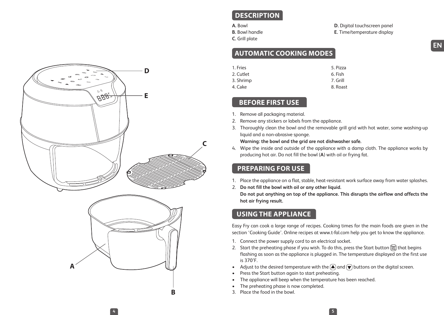

### **DESCRIPTION**

- **A.** Bowl
- **B.** Bowl handle **C.** Grill plate

**D.** Digital touchscreen panel **E.** Time/temperature display

### **AUTOMATIC COOKING MODES**

| 1. Fries  | 5. Pizza |
|-----------|----------|
| 2. Cutlet | 6. Fish  |
| 3. Shrimp | 7. Grill |
| 4. Cake   | 8. Roast |

#### **BEFORE FIRST USE**

- 1. Remove all packaging material.
- 2. Remove any stickers or labels from the appliance.
- 3. Thoroughly clean the bowl and the removable grill grid with hot water, some washing-up liquid and a non-abrasive sponge.

#### **Warning: the bowl and the grid are not dishwasher safe.**

4. Wipe the inside and outside of the appliance with a damp cloth. The appliance works by producing hot air. Do not fill the bowl (**A**) with oil or frying fat.

#### **PREPARING FOR USE**

- 1. Place the appliance on a flat, stable, heat-resistant work surface away from water splashes.
- 2. **Do not fill the bowl with oil or any other liquid.**

**Do not put anything on top of the appliance. This disrupts the airflow and affects the hot air frying result.**

### **USING THE APPLIANCE**

Easy Fry can cook a large range of recipes. Cooking times for the main foods are given in the section 'Cooking Guide'. Online recipes at www.t-fal.com help you get to know the appliance.

- 1. Connect the power supply cord to an electrical socket.
- 2. Start the preheating phase if you wish. To do this, press the Start button  $\frac{\text{Sian}}{\text{Sian}}$  that begins flashing as soon as the appliance is plugged in. The temperature displayed on the first use is 370°F.
- Adjust to the desired temperature with the  $\textcircled{\textbf{a}}$  and  $\textcircled{\textbf{v}}$  buttons on the digital screen.
- Press the Start button again to start preheating.
- The appliance will beep when the temperature has been reached.
- The preheating phase is now completed.
- 3. Place the food in the bowl.

**4 5**

**B**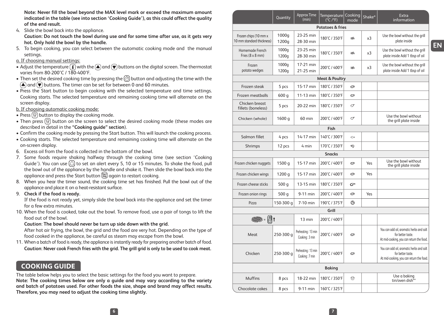**Note: Never fill the bowl beyond the MAX level mark or exceed the maximum amount indicated in the table (see into section 'Cooking Guide'), as this could affect the quality of the end result.**

4. Slide the bowl back into the appliance.

**Caution: Do not touch the bowl during use and for some time after use, as it gets very hot. Only hold the bowl by the handle.**

- 5. To begin cooking, you can select between the automatic cooking mode and the manual settings.
- a. If choosing manual settings:
- Adjust the temperature  $\binom{m}{k}$  with the  $\binom{m}{k}$  and  $\binom{m}{k}$  buttons on the digital screen. The thermostat varies from 80-200°C / 180-400°F.
- Then set the desired cooking time by pressing the  $\circledcirc$  button and adjusting the time with the  $\mathbf{A}$  and  $\mathbf{\nabla}$  buttons. The timer can be set for between 0 and 60 minutes.
- Press the Start button to begin cooking with the selected temperature and time settings. Cooking starts. The selected temperature and remaining cooking time will alternate on the screen display.
- b. If choosing automatic cooking mode:
- Press  $\circledR$  button to display the cooking mode.
- $\bullet$  Then press  $\circledR$  button on the screen to select the desired cooking mode (these modes are described in detail in the **"Cooking guide" section**).
- Confirm the cooking mode by pressing the Start button. This will launch the cooking process.
- Cooking starts. The selected temperature and remaining cooking time will alternate on the on-screen display.
- 6. Excess oil from the food is collected in the bottom of the bowl.
- 7. Some foods require shaking halfway through the cooking time (see section 'Cooking Guide'). You can use  $\textcircled{2}$  to set an alert every 5, 10 or 15 minutes. To shake the food, pull the bowl out of the appliance by the handle and shake it. Then slide the bowl back into the appliance and press the Start button  $\frac{\text{Start}}{\text{Start}}$  again to restart cooking.
- 8. When you hear the timer sound, the cooking time set has finished. Pull the bowl out of the appliance and place it on a heat-resistant surface.
- 9. **Check if the food is ready.**

If the food is not ready yet, simply slide the bowl back into the appliance and set the timer for a few extra minutes.

10. When the food is cooked, take out the bowl. To remove food, use a pair of tongs to lift the food out of the bowl.

#### **Caution**: **The bowl should never be turn up side down with the grid.**

After hot air frying, the bowl, the grid and the food are very hot. Depending on the type of food cooked in the appliance, be careful as steam may escape from the bowl.

11. When a batch of food is ready, the appliance is instantly ready for preparing another batch of food. **Caution**: **Never cook French fries with the grid. The grill grid is only to be used to cook meat.**

#### **COOKING GUIDE**

The table below helps you to select the basic settings for the food you want to prepare. **Note: The cooking times below are only a guide and may vary according to the variety and batch of potatoes used. For other foods the size, shape and brand may affect results. Therefore, you may need to adjust the cooking time slightly.**

|                                                    | Quantity       | <b>Approx Time</b><br>(min)          | Temperature<br>(°C /°F)     | Cooking<br>mode                                   | Shake* | Extra<br>information                                                                                      |
|----------------------------------------------------|----------------|--------------------------------------|-----------------------------|---------------------------------------------------|--------|-----------------------------------------------------------------------------------------------------------|
|                                                    |                |                                      | <b>Potatoes &amp; fries</b> |                                                   |        |                                                                                                           |
| Frozen chips (10 mm x<br>10 mm standard thickness) | 1000g<br>1200g | 23-25 min<br>28-30 min               | 180°C / 350°F               | æ.                                                | x3     | Use the bowl without the grill<br>plate inside                                                            |
| Homemade French<br>Fries (8 x 8 mm)                | 1000g<br>1200g | 23-25 min<br>28-30 min               | 180°C / 350°F               | æ.                                                | x3     | Use the bowl without the grill<br>plate inside Add 1 tbsp of oil                                          |
| Frozen<br>potato wedges                            | 1000g<br>1200g | 17-21 min<br>21-25 min               | 200°C / 400°F               | æ.                                                | x3     | Use the bowl without the grill<br>plate inside Add 1 tbsp of oil                                          |
|                                                    |                |                                      | <b>Meat &amp; Poultry</b>   |                                                   |        |                                                                                                           |
| Frozen steak                                       | 5 pcs          | 15-17 min                            | 180°C / 350°F               | Q                                                 |        |                                                                                                           |
| Frozen meatballs                                   | 600 g          | 11-13 min                            | 180°C / 350°F               | Ô                                                 |        |                                                                                                           |
| Chicken breast<br>fillets (boneless)               | 5 pcs          | 20-22 min                            | 180°C / 350°F               | σ                                                 |        |                                                                                                           |
| Chicken (whole)                                    | 1600 g         | 60 min                               | 200°C / 400°F               | σ                                                 |        | Use the bowl without<br>the grill plate inside                                                            |
|                                                    |                |                                      | Fish                        |                                                   |        |                                                                                                           |
| Salmon fillet                                      | 4 pcs          | 14-17 min                            | 140°C / 300°F               | $\scriptstyle\mathrel{\mathop{\curvearrowright}}$ |        |                                                                                                           |
| Shrimps                                            | 12 pcs         | 4 min                                | 170°C / 350°F               | *D                                                |        |                                                                                                           |
|                                                    |                |                                      | <b>Snacks</b>               |                                                   |        |                                                                                                           |
| Frozen chicken nuggets                             | 1500 g         | 15-17 min                            | 200°C / 400°F               | $\circ$                                           | Yes    | Use the bowl without<br>the grill plate inside                                                            |
| Frozen chicken wings                               | 1200 g         | 15-17 min                            | 200°C / 400°F               | e                                                 | Yes    |                                                                                                           |
| Frozen cheese sticks                               | 500 g          | 13-15 min                            | 180°C / 350°F               | రా                                                |        |                                                                                                           |
| Frozen onion rings                                 | 500 g          | 9-11 min                             | 200°C / 400°F               | Ø                                                 | Yes    |                                                                                                           |
| Pizza                                              | 150-300 g      | 7-10 min                             | 190°C / 375°F               | 0                                                 |        |                                                                                                           |
|                                                    |                |                                      | Grill                       |                                                   |        |                                                                                                           |
| <b>1999 - U</b> t                                  |                | 13 min                               | 200°C / 400°F               |                                                   |        |                                                                                                           |
| Meat                                               | 250-300 g      | Preheating: 13 min<br>Cooking: 3 min | 200°C / 400°F               | ø                                                 |        | You can add oil, aromatic herbs and salt<br>for better taste.<br>At mid-cooking, you can return the food. |
| Chicken                                            | 250-300 g      | Preheating: 13 min<br>Cooking: 7 min | 200°C / 400°F               | Ø                                                 |        | You can add oil, aromatic herbs and salt<br>for better taste.<br>At mid-cooking, you can return the food. |
| Baking                                             |                |                                      |                             |                                                   |        |                                                                                                           |
| <b>Muffins</b>                                     | 8 pcs          | 18-22 min                            | 180°C / 350°F               | ₩                                                 |        | Use a baking<br>tin/oven dish**                                                                           |
| Chocolate cakes                                    | 8 pcs          | 9-11 min                             | 160°C / 325°F               |                                                   |        |                                                                                                           |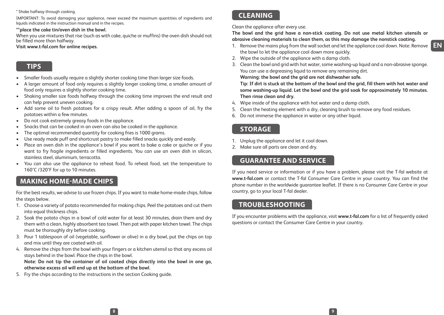#### \* Shake halfway through cooking.

IMPORTANT: To avoid damaging your appliance, never exceed the maximum quantities of ingredients and liquids indicated in the instruction manual and in the recipes.

#### **\*\*place the cake tin/oven dish in the bowl.**

When you use mixtures that rise (such as with cake, quiche or muffins) the oven dish should not be filled more than halfway.

#### **Visit www.t-fal.com for online recipes.**

#### **TIPS**

- Smaller foods usually require a slightly shorter cooking time than larger size foods.
- A larger amount of food only requires a slightly longer cooking time, a smaller amount of food only requires a slightly shorter cooking time.
- Shaking smaller size foods halfway through the cooking time improves the end result and can help prevent uneven cooking.
- Add some oil to fresh potatoes for a crispy result. After adding a spoon of oil, fry the potatoes within a few minutes.
- Do not cook extremely greasy foods in the appliance.
- Snacks that can be cooked in an oven can also be cooked in the appliance.
- The optimal recommended quantity for cooking fries is 1000 grams.
- Use ready made puff and shortcrust pastry to make filled snacks quickly and easily.
- Place an oven dish in the appliance's bowl if you want to bake a cake or quiche or if you want to fry fragile ingredients or filled ingredients. You can use an oven dish in silicon, stainless steel, aluminium, terracotta.
- You can also use the appliance to reheat food. To reheat food, set the temperature to 160°C /320°F for up to 10 minutes.

#### **MAKING HOME-MADE CHIPS**

For the best results, we advise to use frozen chips. If you want to make home-made chips, follow the steps below.

- 1. Choose a variety of potato recommended for making chips. Peel the potatoes and cut them into equal thickness chips.
- 2. Soak the potato chips in a bowl of cold water for at least 30 minutes, drain them and dry them with a clean, highly absorbent tea towel. Then pat with paper kitchen towel. The chips must be thoroughly dry before cooking.
- 3. Pour 1 tablespoon of oil (vegetable, sunflower or olive) in a dry bowl, put the chips on top and mix until they are coated with oil.
- 4. Remove the chips from the bowl with your fingers or a kitchen utensil so that any excess oil stays behind in the bowl. Place the chips in the bowl.

**Note: Do not tip the container of oil coated chips directly into the bowl in one go, otherwise excess oil will end up at the bottom of the bowl.**

5. Fry the chips according to the instructions in the section Cooking guide.

#### **CLEANING**

Clean the appliance after every use.

**The bowl and the grid have a non-stick coating. Do not use metal kitchen utensils or abrasive cleaning materials to clean them, as this may damage the nonstick coating.**

- 1. Remove the mains plug from the wall socket and let the appliance cool down. Note: Remove the bowl to let the appliance cool down more quickly.
- 2. Wipe the outside of the appliance with a damp cloth.
- 3. Clean the bowl and grid with hot water, some washing-up liquid and a non-abrasive sponge. You can use a degreasing liquid to remove any remaining dirt. **Warning: the bowl and the grid are not dishwasher safe.**

**Tip: If dirt is stuck at the bottom of the bowl and the grid, fill them with hot water and some washing-up liquid. Let the bowl and the grid soak for approximately 10 minutes. Then rinse clean and dry.**

- 4. Wipe inside of the appliance with hot water and a damp cloth.
- 5. Clean the heating element with a dry, cleaning brush to remove any food residues.
- 6. Do not immerse the appliance in water or any other liquid.

#### **STORAGE**

**8 9**

- 1. Unplug the appliance and let it cool down.
- 2. Make sure all parts are clean and dry.

#### **GUARANTEE AND SERVICE**

If you need service or information or if you have a problem, please visit the T-fal website at **www.t-fal.com** or contact the T-fal Consumer Care Centre in your country. You can find the phone number in the worldwide guarantee leaflet. If there is no Consumer Care Centre in your country, go to your local T-fal dealer.

#### **TROUBLESHOOTING**

If you encounter problems with the appliance, visit **www.t-fal.com** for a list of frequently asked questions or contact the Consumer Care Centre in your country.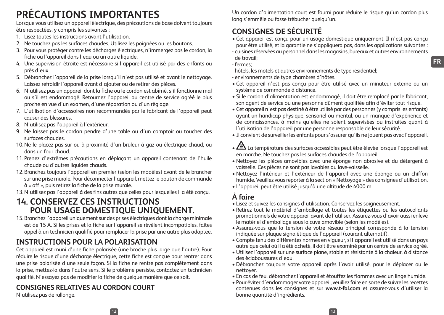# **PRÉCAUTIONS IMPORTANTES**

Lorsque vous utilisez un appareil électrique, des précautions de base doivent toujours être respectées, y compris les suivantes :

- 1. Lisez toutes les instructions avant l'utilisation.
- 2. Ne touchez pas les surfaces chaudes. Utilisez les poignées ou les boutons.
- 3. Pour vous protéger contre les décharges électriques, n'immergez pas le cordon, la fiche ou l'appareil dans l'eau ou un autre liquide.
- 4. Une supervision étroite est nécessaire si l'appareil est utilisé par des enfants ou près d'eux.
- 5. Débranchez l'appareil de la prise lorsqu'il n'est pas utilisé et avant le nettoyage. Laissez refroidir l'appareil avant d'ajouter ou de retirer des pièces.
- 6. N'utilisez pas un appareil dont la fiche ou le cordon est abîmé, s'il fonctionne mal ou s'il est endommagé. Retournez l'appareil au centre de service agréé le plus proche en vue d'un examen, d'une réparation ou d'un réglage.
- 7. L'utilisation d'accessoires non recommandés par le fabricant de l'appareil peut causer des blessures.
- 8. N'utilisez pas l'appareil à l'extérieur.
- 9. Ne laissez pas le cordon pendre d'une table ou d'un comptoir ou toucher des surfaces chaudes.
- 10.Ne le placez pas sur ou à proximité d'un brûleur à gaz ou électrique chaud, ou dans un four chaud.
- 11. Prenez d'extrêmes précautions en déplaçant un appareil contenant de l'huile chaude ou d'autres liquides chauds.
- 12.Branchez toujours l'appareil en premier (selon les modèles) avant de le brancher sur une prise murale. Pour déconnecter l'appareil, mettez le bouton de commande à « off », puis retirez la fiche de la prise murale.
- 13.N'utilisez pas l'appareil à des fins autres que celles pour lesquelles il a été conçu.

## **14. CONSERVEZ CES INSTRUCTIONS POUR USAGE DOMESTIQUE UNIQUEMENT.**

15.Branchez l'appareil uniquement sur des prises électriques dont la charge minimale est de 15 A. Si les prises et la fiche sur l'appareil se révèlent incompatibles, faites appel à un technicien qualifié pour remplacer la prise par une autre plus adaptée.

## **INSTRUCTIONS POUR LA POLARISATION**

Cet appareil est muni d'une fiche polarisée (une broche plus large que l'autre). Pour réduire le risque d'une décharge électrique, cette fiche est conçue pour rentrer dans une prise polarisée d'une seule façon. Si la fiche ne rentre pas complètement dans la prise, mettez-la dans l'autre sens. Si le problème persiste, contactez un technicien qualifié. N'essayez pas de modifier la fiche de quelque manière que ce soit.

## **CONSIGNES RELATIVES AU CORDON COURT**

N'utilisez pas de rallonge.

Un cordon d'alimentation court est fourni pour réduire le risque qu'un cordon plus long s'emmêle ou fasse trébucher quelqu'un.

## **CONSIGNES DE SÉCURITÉ**

- Cet appareil est conçu pour un usage domestique uniquement. Il n'est pas conçu pour être utilisé, et la garantie ne s'appliquera pas, dans les applications suivantes :
- cuisines réservées au personnel dans les magasins, bureaux et autres environnements de travail;
- fermes;
- hôtels, les motels et autres environnements de type résidentiel;
- environnements de type chambres d'hôtes.
- Cet appareil n'est pas conçu pour être utilisé avec un minuteur externe ou un système de commande à distance.
- Si le cordon d'alimentation est endommagé, il doit être remplacé par le fabricant, son agent de service ou une personne dûment qualifiée afin d'éviter tout risque.
- Cet appareil n'est pas destiné à être utilisé par des personnes (y compris les enfants) ayant un handicap physique, sensoriel ou mental, ou un manque d'expérience et de connaissances, à moins qu'elles ne soient supervisées ou instruites quant à l'utilisation de l'appareil par une personne responsable de leur sécurité.
- Il convient de surveiller les enfants pour s'assurer qu'ils ne jouent pas avec l'appareil.
- $\sqrt{20}$  La température des surfaces accessibles peut être élevée lorsque l'appareil est en marche. Ne touchez pas les surfaces chaudes de l'appareil.
- Nettoyez les pièces amovibles avec une éponge non abrasive et du détergent à vaisselle. Ces pièces ne sont pas lavables au lave-vaisselle.
- Nettoyez l'intérieur et l'extérieur de l'appareil avec une éponge ou un chiffon humide. Veuillez vous reporter à la section « Nettoyage » des consignes d'utilisation.
- L'appareil peut être utilisé jusqu'à une altitude de 4000 m.

## **À faire**

- Lisez et suivez les consignes d'utilisation. Conservez-les soigneusement.
- Retirez tout le matériel d'emballage et toutes les étiquettes ou les autocollants promotionnels de votre appareil avant de l'utiliser. Assurez-vous d'avoir aussi enlevé le matériel d'emballage sous la cuve amovible (selon les modèles).
- Assurez-vous que la tension de votre réseau principal corresponde à la tension indiquée sur plaque signalétique de l'appareil (courant alternatif).
- Compte tenu des différentes normes en vigueur, si l'appareil est utilisé dans un pays autre que celui où il a été acheté, il doit être examiné par un centre de service agréé.
- Utilisez l'appareil sur une surface plane, stable et résistante à la chaleur, à distance des éclaboussures d'eau.
- Débranchez toujours votre appareil après l'avoir utilisé, pour le déplacer ou le nettoyer.
- En cas de feu, débranchez l'appareil et étouffez les flammes avec un linge humide.
- Pour éviter d'endommager votre appareil, veuillez faire en sorte de suivre les recettes contenues dans les consignes et sur **www.t-fal.com** et assurez-vous d'utiliser la bonne quantité d'ingrédients.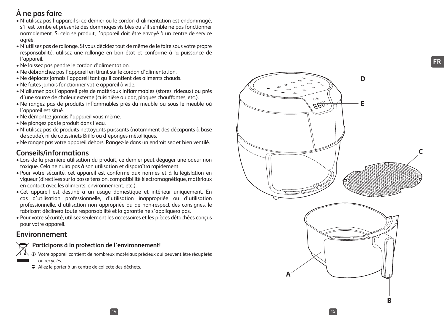## **À ne pas faire**

- N'utilisez pas l'appareil si ce dernier ou le cordon d'alimentation est endommagé, s'il est tombé et présente des dommages visibles ou s'il semble ne pas fonctionner normalement. Si cela se produit, l'appareil doit être envoyé à un centre de service agréé.
- N'utilisez pas de rallonge. Si vous décidez tout de même de le faire sous votre propre responsabilité, utilisez une rallonge en bon état et conforme à la puissance de l'appareil.
- Ne laissez pas pendre le cordon d'alimentation.
- Ne débranchez pas l'appareil en tirant sur le cordon d'alimentation.
- Ne déplacez jamais l'appareil tant qu'il contient des aliments chauds.
- Ne faites jamais fonctionner votre appareil à vide.
- N'allumez pas l'appareil près de matériaux inflammables (stores, rideaux) ou près d'une source de chaleur externe (cuisinière au gaz, plaques chauffantes, etc.).
- Ne rangez pas de produits inflammables près du meuble ou sous le meuble où l'appareil est situé.
- Ne démontez jamais l'appareil vous-même.
- Ne plongez pas le produit dans l'eau.
- N'utilisez pas de produits nettoyants puissants (notamment des décapants à base de soude), ni de coussinets Brillo ou d'éponges métalliques.
- Ne rangez pas votre appareil dehors. Rangez-le dans un endroit sec et bien ventilé.

#### **Conseils/informations**

- Lors de la première utilisation du produit, ce dernier peut dégager une odeur non toxique. Cela ne nuira pas à son utilisation et disparaîtra rapidement.
- Pour votre sécurité, cet appareil est conforme aux normes et à la législation en vigueur (directives sur la basse tension, compatibilité électromagnétique, matériaux en contact avec les aliments, environnement, etc.).
- Cet appareil est destiné à un usage domestique et intérieur uniquement. En cas d'utilisation professionnelle, d'utilisation inappropriée ou d'utilisation professionnelle, d'utilisation non appropriée ou de non-respect des consignes, le fabricant déclinera toute responsabilité et la garantie ne s'appliquera pas.
- Pour votre sécurité, utilisez seulement les accessoires et les pièces détachées conçus pour votre appareil.

#### **Environnement**

#### **Participons à la protection de l'environnement!**

- iVotre appareil contient de nombreux matériaux précieux qui peuvent être récupérés ou recyclés.
- Allez le porter à un centre de collecte des déchets.

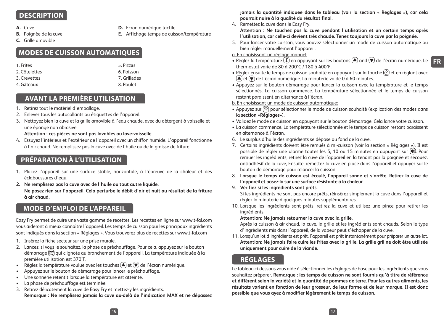#### **DESCRIPTION**

- **A.** Cuve
- **B.** Poignée de la cuve
- **D.** Ecran numérique tactile
- **E.** Affichage temps de cuisson/température
- **C.** Grille amovible
- **MODES DE CUISSON AUTOMATIQUES**

| 1. Frites     | 5. Pizzas    |
|---------------|--------------|
| 2. Côtelettes | 6. Poisson   |
| 3. Crevettes  | 7. Grillades |
| 4. Gâteaux    | 8. Poulet    |

#### **AVANT LA PREMIÈRE UTILISATION**

- 1. Retirez tout le matériel d'emballage.
- 2. Enlevez tous les autocollants ou étiquettes de l'appareil.
- 3. Nettoyez bien la cuve et la grille amovible à l'eau chaude, avec du détergent à vaisselle et une éponge non abrasive.

#### **Attention : ces pièces ne sont pas lavables au lave-vaisselle.**

4. Essuyez l'intérieur et l'extérieur de l'appareil avec un chiffon humide. L'appareil fonctionne à l'air chaud. Ne remplissez pas la cuve avec de l'huile ou de la graisse de friture.

### **PRÉPARATION À L'UTILISATION**

- 1. Placez l'appareil sur une surface stable, horizontale, à l'épreuve de la chaleur et des éclaboussures d'eau.
- **2. Ne remplissez pas la cuve avec de l'huile ou tout autre liquide. Ne posez rien sur l'appareil. Cela perturbe le débit d'air et nuit au résultat de la friture à air chaud.**

#### **MODE D'EMPLOI DE L'APPAREIL**

Easy Fry permet de cuire une vaste gamme de recettes. Les recettes en ligne sur www.t-fal.com vous aideront à mieux connaître l'appareil. Les temps de cuisson pour les principaux ingrédients sont indiqués dans la section « Réglages ». Vous trouverez plus de recettes sur www.t-fal.com

- 1. Insérez la fiche secteur sur une prise murale.
- 2. Lancez, si vous le souhaitez, la phase de préchauffage. Pour cela, appuyez sur le bouton démarrage qui clignote au branchement de l'appareil. La température indiquée à la première utilisation est 370°F.
- Réglez la température voulue avec les touches  $\left(\blacktriangle\right)$ et  $\left(\blacktriangledown\right)$  de l'écran numérique.
- Appuyez sur le bouton de démarrage pour lancer le préchauffage.
- Une sonnerie retentit lorsque la température est atteinte.
- La phase de préchauffage est terminée.
- 3. Retirez délicatement la cuve de Easy Fry et mettez-y les ingrédients. **Remarque : Ne remplissez jamais la cuve au-delà de l'indication MAX et ne dépassez**

**jamais la quantité indiquée dans le tableau (voir la section « Réglages »), car cela pourrait nuire à la qualité du résultat final.** 

4. Remettez la cuve dans le Easy Fry.

**Attention : Ne touchez pas la cuve pendant l'utilisation et un certain temps après l'utilisation, car celle-ci devient très chaude. Tenez toujours la cuve par la poignée.** 

5. Pour lancer votre cuisson, vous pouvez sélectionner un mode de cuisson automatique ou bien régler manuellement l'appareil.

a. En choisissant un réglage manuel:

- Réglez la température  $\mathbb U$  en appuyant sur les boutons  $\bigcirc$  and  $\bigcirc$  de l'écran numérique. Le **FR** thermostat varie de 80 à 200°C / 180 à 400°F.
- Réglez ensuite le temps de cuisson souhaité en appuyant sur la touche  $\circled{c}$  et en réglant avec  $(\blacktriangle)$  et  $(\blacktriangledown)$  de l'écran numérique. La minuterie va de 0 à 60 minutes.
- Appuyez sur le bouton démarrage pour lancer la cuisson avec la température et le temps sélectionnés. La cuisson commence. La température sélectionnée et le temps de cuisson restant paraissent en alternance à l'écran.
- b. En choisissant un mode de cuisson automatique:
- Appuyez sur  $\circledR$  pour sélectionner le mode de cuisson souhaité (explication des modes dans la **section «Réglages»**).
- Validez le mode de cuisson en appuyant sur le bouton démarrage. Cela lance votre cuisson.
- La cuisson commence. La température sélectionnée et le temps de cuisson restant paraissent en alternance à l'écran.
- 6. Le surplus d'huile des ingrédients se dépose au fond de la cuve.
- 7. Certains ingrédients doivent être remués à mi-cuisson (voir la section « Réglages »). Il est possible de régler une alarme toutes les 5, 10 ou 15 minutes en appuyant sur . Pour remuer les ingrédients, retirez la cuve de l'appareil en la tenant par la poignée et secouez. antiadhésif de la cuve, Ensuite, remettez la cuve en place dans l'appareil et appuyez sur le bouton de démarrage pour relancer la cuisson.
- 8. **Lorsque le temps de cuisson est écoulé, l'appareil sonne et s'arrête. Retirez la cuve de l'appareil et posez-la sur une surface résistante à la chaleur.**
- 9. **Vérifiez si les ingrédients sont prêts.**

Si les ingrédients ne sont pas encore prêts, réinsérez simplement la cuve dans l'appareil et réglez la minuterie à quelques minutes supplémentaires.

10. Lorsque les ingrédients sont prêts, retirez la cuve et utilisez une pince pour retirer les ingrédients.

#### **Attention: Ne jamais retourner la cuve avec la grille.**

Après la cuisson à air chaud, la cuve, la grille et les ingrédients sont chauds. Selon le type d'ingrédients mis dans l'appareil, de la vapeur peut s'échapper de la cuve.

11. Lorsqu'un lot d'ingrédients est prêt, l'appareil est prêt instantanément pour préparer un autre lot. **Attention: Ne jamais faire cuire les frites avec la grille. La grille gril ne doit être utilisée uniquement pour cuire de la viande.**

### **RÉGLAGES**

Le tableau ci-dessous vous aide à sélectionner les réglages de base pour les ingrédients que vous souhaitez préparer. **Remarque : les temps de cuisson ne sont fournis qu'à titre de référence et diffèrent selon la variété et la quantité de pommes de terre. Pour les autres aliments, les résultats varient en fonction de leur grosseur, de leur forme et de leur marque. Il est donc possible que vous ayez à modifier légèrement le temps de cuisson.**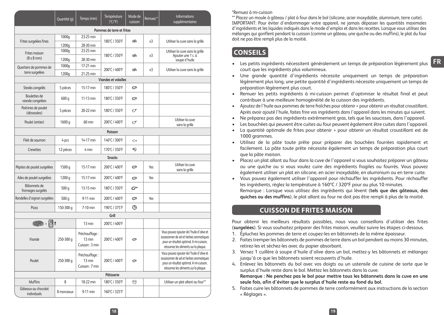|                                    | Quantité (q) | Temps (min)                               | Température<br>(°C/°F)    | Mode de<br>cuisson | Remuez <sup>+</sup> | <b>Informations</b><br>supplémentaires                                                                                                                                    |  |
|------------------------------------|--------------|-------------------------------------------|---------------------------|--------------------|---------------------|---------------------------------------------------------------------------------------------------------------------------------------------------------------------------|--|
|                                    |              |                                           | Pommes de terre et frites |                    |                     |                                                                                                                                                                           |  |
| Frites surgelées fines             | 1000g        | 23-25 min                                 | ₩<br>180°C / 350°F        |                    | x <sub>3</sub>      | Utiliser la cuve sans la grille                                                                                                                                           |  |
|                                    | 1200g        | 28-30 min                                 |                           |                    |                     |                                                                                                                                                                           |  |
| Frites maison                      | 1000g        | 23-25 min                                 | æ.<br>180°C / 350°F       |                    | x <sub>3</sub>      | Utiliser la cuve sans la grille<br>Ajouter une 1 c. à                                                                                                                     |  |
| $(8 \times 8 \text{ mm})$          | 1200g        | 28-30 min                                 |                           |                    | soupe d'huile       |                                                                                                                                                                           |  |
| Quartiers de pommes de             | 1000g        | 17-21 min                                 | 200°C / 400°F             | æ.                 | x3                  | Utiliser la cuve sans la grille                                                                                                                                           |  |
| terre surgelées                    | 1200g        | 21-25 min                                 |                           |                    |                     |                                                                                                                                                                           |  |
| <b>Viandes et volailles</b>        |              |                                           |                           |                    |                     |                                                                                                                                                                           |  |
| Steaks congelés                    | 5 pièces     | 15-17 min                                 | 180°C / 350°F             | $\circ$            |                     |                                                                                                                                                                           |  |
| Boulettes de<br>viande congelées   | 600 g        | 11-13 min                                 | 180°C / 350°F             | $\circ$            |                     |                                                                                                                                                                           |  |
| Poitrines de poulet<br>(désossées) | 5 pièces     | 20-22 min                                 | 180°C / 350°F             | σ                  |                     |                                                                                                                                                                           |  |
| Poulet (entier)                    | 1600 g       | 60 min                                    | 200°C / 400°F             | σ                  |                     | Utiliser la cuve<br>sans la grille                                                                                                                                        |  |
|                                    |              |                                           | Poisson                   |                    |                     |                                                                                                                                                                           |  |
| Filet de saumon                    | 4 pcs        | 14-17 min                                 | 140°C / 300°F             | Ò.                 |                     |                                                                                                                                                                           |  |
| Crevettes                          | 12 pièces    | 4 min                                     | 170°C / 350°F             | 冠                  |                     |                                                                                                                                                                           |  |
|                                    |              |                                           | <b>Snacks</b>             |                    |                     |                                                                                                                                                                           |  |
| Pépites de poulet surgelées        | 1500 g       | 15-17 min                                 | 200°C / 400°F             | ø                  | Yes                 | Utiliser la cuve<br>sans la grille                                                                                                                                        |  |
| Ailes de poulet surgelées          | 1200 g       | 15-17 min                                 | 200°C / 400°F             | ø                  | Yes                 |                                                                                                                                                                           |  |
| Bâtonnets de<br>fromages surgelés  | 500 g        | 13-15 min                                 | 180°C / 350°F             | రా                 |                     |                                                                                                                                                                           |  |
| Rondelles d'oignon surgelées       | 500 g        | 9-11 min                                  | 200°C / 400°F             | Ø                  | Yes                 |                                                                                                                                                                           |  |
| Pizza                              | 150-300 g    | 7-10 min                                  | 190°C / 375°F             | G                  |                     |                                                                                                                                                                           |  |
|                                    |              |                                           | Grill                     |                    |                     |                                                                                                                                                                           |  |
| <b>1999 - U</b> t                  |              | 13 min                                    | 200°C / 400°F             |                    |                     |                                                                                                                                                                           |  |
| Viande                             | 250-300 g    | Préchauffage:<br>13 min<br>Cuisson: 3 min | 200°C / 400°F             | Ø                  |                     | Vous pouvez ajouter de l'huile d'olive et<br>assaisonner de sel et herbes aromatiques<br>pour un résultat optimal. A mi-cuisson,<br>retournez les aliments sur la plaque. |  |
| Poulet                             | 250-300 g    | Préchauffage:<br>13 min<br>Cuisson: 7 min | 200°C / 400°F             | e                  |                     | Vous pouvez ajouter de l'huile d'olive et<br>assaisonner de sel et herbes aromatiques<br>pour un résultat optimal. A mi-cuisson,<br>retournez les aliments sur la plaque. |  |
|                                    |              |                                           | Pâtisserie                |                    |                     |                                                                                                                                                                           |  |
| Muffins                            | 8            | 18-22 min                                 | 180°C / 350°F             | ₩                  |                     | Utiliser un plat allant au four**                                                                                                                                         |  |
| Gâteaux au chocolat<br>individuels | 8 morceaux   | 9-11 min                                  | 160°C / 325°F             |                    |                     |                                                                                                                                                                           |  |

#### \*Remuez à mi-cuisson

\*\* Placez un moule à gâteau / plat à four dans le bol (silicone, acier inoxydable, aluminium, terre cuite). IMPORTANT: Pour éviter d'endommager votre appareil, ne jamais dépasser les quantités maximales d'ingrédients et les liquides indiqués dans le mode d'emploi et dans les recettes. Lorsque vous utilisez des mélanges qui gonflent pendant la cuisson (comme un gâteau, une quiche ou des muffins), le plat du four doit ne pas être rempli plus de la moitié.

#### **CONSEILS**

- **FR** • Les petits ingrédients nécessitent généralement un temps de préparation légèrement plus court que les ingrédients plus volumineux.
- Une grande quantité d'ingrédients nécessite uniquement un temps de préparation légèrement plus long, une petite quantité d'ingrédients nécessite uniquement un temps de préparation légèrement plus court.
- Remuer les petits ingrédients à mi-cuisson permet d'optimiser le résultat final et peut contribuer à une meilleure homogénéité de la cuisson des ingrédients.
- Ajoutez de l'huile aux pommes de terre fraîches pour obtenir = pour obtenir un résultat croustillant. Après avoir ajouté l'huile, faites frire vos ingrédients dans l'appareil dans les minutes qui suivent.
- Ne préparez pas des ingrédients extrêmement gras, tels que les saucisses, dans l'appareil.
- Les bouchées qui peuvent être cuites au four peuvent également être cuites dans l'appareil.
- La quantité optimale de frites pour obtenir = pour obtenir un résultat croustillant est de 1000 grammes.
- Utilisez de la pâte toute prête pour préparer des bouchées fourrées rapidement et facilement. La pâte toute prête nécessite également un temps de préparation plus court que la pâte maison.
- Placez un plat allant au four dans la cuve de l'appareil si vous souhaitez préparer un gâteau ou une quiche ou si vous voulez cuire des ingrédients fragiles ou fourrés. Vous pouvez également utiliser un plat en silicone, en acier inoxydable, en aluminium ou en terre cuite.
- Vous pouvez également utiliser l'appareil pour réchauffer les ingrédients. Pour réchauffer les ingrédients, réglez la température à 160ºC / 320ºF pour au plus 10 minutes. Remarque : Lorsque vous utilisez des ingrédients qui lèvent (**tels que des gâteaux, des quiches ou des muffins**), le plat allant au four ne doit pas être rempli à plus de la moitié.

#### **CUISSON DE FRITES MAISON**

Pour obtenir les meilleurs résultats possibles, nous vous conseillons d'utiliser des frites (**surgelées**). Si vous souhaitez préparer des frites maison, veuillez suivre les étapes ci-dessous.

- 1. Épluchez les pommes de terre et coupez-les en bâtonnets de la même épaisseur.
- 2. Faites tremper les bâtonnets de pommes de terre dans un bol pendant au moins 30 minutes, retirez-les et séchez-les avec du papier absorbant.
- 3. Versez 1 cuillère à soupe d'huile d'olive dans un bol, mettez-y les bâtonnets et mélangez jusqu'à ce que les bâtonnets soient recouverts d'huile.
- 4. Enlevez les bâtonnets du bol avec vos doigts ou un ustensile de cuisine de sorte que le surplus d'huile reste dans le bol. Mettez les bâtonnets dans la cuve.

**Remarque : Ne penchez pas le bol pour mettre tous les bâtonnets dans la cuve en une seule fois, afin d'éviter que le surplus d'huile reste au fond du bol.**

5. Faites cuire les bâtonnets de pommes de terre conformément aux instructions de la section « Réglages ».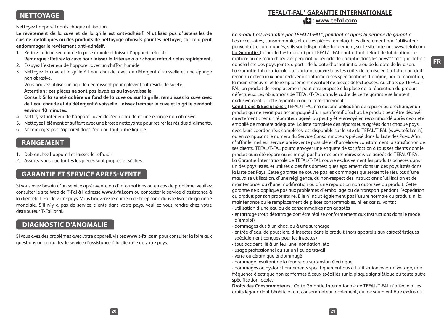#### **NETTOYAGE**

Nettoyez l'appareil après chaque utilisation.

**Le revêtement de la cuve et de la grille est anti-adhésif. N'utilisez pas d'ustensiles de cuisine métalliques ou des produits de nettoyage abrasifs pour les nettoyer, car cela peut endommager le revêtement anti-adhésif.**

- 1. Retirez la fiche secteur de la prise murale et laissez l'appareil refroidir **Remarque : Retirez la cuve pour laisser la friteuse à air chaud refroidir plus rapidement.**
- 2. Essuyez l'extérieur de l'appareil avec un chiffon humide.
- 3. Nettoyez la cuve et la grille à l'eau chaude, avec du détergent à vaisselle et une éponge non abrasive.

Vous pouvez utiliser un liquide dégraissant pour enlever tout résidu de saleté.

**Attention : ces pièces ne sont pas lavables au lave-vaisselle.**

**Conseil: Si la saleté adhère au fond de la cuve ou sur la grille, remplissez la cuve avec de l'eau chaude et du détergent à vaisselle. Laissez tremper la cuve et la grille pendant environ 10 minutes.**

- 4. Nettoyez l'intérieur de l'appareil avec de l'eau chaude et une éponge non abrasive.
- 5. Nettoyez l'élément chauffant avec une brosse nettoyante pour retirer les résidus d'aliments.
- 6. N'immergez pas l'appareil dans l'eau ou tout autre liquide.

#### **RANGEMENT**

- 1. Débranchez l'appareil et laissez-le refroidir
- 2. Assurez-vous que toutes les pièces sont propres et sèches.

### **GARANTIE ET SERVICE APRÈS-VENTE**

Si vous avez besoin d'un service après-vente ou d'informations ou en cas de problème, veuillez consulter le site Web de T-Fal à l'adresse **www.t-fal.com** ou contacter le service d'assistance à la clientèle T-Fal de votre pays. Vous trouverez le numéro de téléphone dans le livret de garantie mondiale. S'il n'y a pas de service clients dans votre pays, veuillez vous rendre chez votre distributeur T-Fal local.

### **DIAGNOSTIC D'ANOMALIE**

Si vous avez des problèmes avec votre appareil, visitez **www.t-fal.com** pour consulter la foire aux questions ou contactez le service d'assistance à la clientèle de votre pays.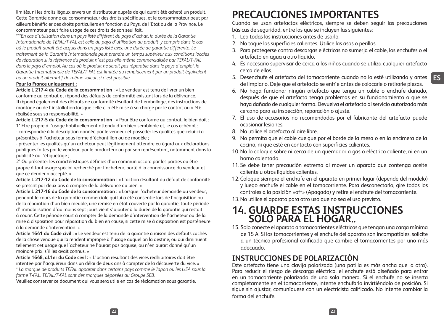# **PRECAUCIONES IMPORTANTES**

Cuando se usan artefactos eléctricos, siempre se deben seguir las precauciones básicas de seguridad, entre las que se incluyen las siguientes:

- 1. Lea todas las instrucciones antes de usarlo.
- 2. No toque las superficies calientes. Utilice las asas o perillas.
- 3. Para protegerse contra descargas eléctricas no sumerja el cable, los enchufes o el artefacto en agua u otro líquido.
- 4. Es necesario supervisar de cerca a los niños cuando se utiliza cualquier artefacto cerca de ellos.
- 5. Desenchufe el artefacto del tomacorriente cuando no lo esté utilizando y antes de limpiarlo. Deje que el artefacto se enfríe antes de colocarle o retirarle piezas.
- 6. No haga funcionar ningún artefacto que tenga un cable o enchufe dañado, después de que el artefacto tenga problemas en su funcionamiento o que se haya dañado de cualquier forma. Devuelva el artefacto al servicio autorizado más cercano para su inspección, reparación o ajuste.
- 7. El uso de accesorios no recomendados por el fabricante del artefacto puede ocasionar lesiones.
- 8. No utilice el artefacto al aire libre.
- 9. No permita que el cable cuelgue por el borde de la mesa o en la encimera de la cocina, ni que esté en contacto con superficies calientes.
- 10.No lo coloque sobre ni cerca de un quemador a gas o eléctrico caliente, ni en un horno calentado.
- 11. Se debe tener precaución extrema al mover un aparato que contenga aceite caliente u otros líquidos calientes.
- 12.Coloque siempre el enchufe en el aparato en primer lugar (depende del modelo) y luego enchufe el cable en el tomacorriente. Para desconectarlo, gire todos los controles a la posición «off» (Apagado) y retire el enchufe del tomacorriente.
- 13.No utilice el aparato para otro uso que no sea el uso previsto.

## **14. GUARDE ESTAS INSTRUCCIONES SOLO PARA EL HOGAR..**

15. Solo conecte el aparato a tomacorrientes eléctricos que tengan una carga mínima de 15 A. Si los tomacorrientes y el enchufe del aparato son incompatibles, solicite a un técnico profesional calificado que cambie el tomacorrientes por uno más adecuado.

### **INSTRUCCIONES DE POLARIZACIÓN**

Este artefacto tiene una clavija polarizada (una patilla es más ancha que la otra). Para reducir el riesgo de descarga eléctrica, el enchufe está diseñado para entrar en un tomacorriente polarizado de una sola manera. Si el enchufe no se inserta completamente en el tomacorriente, intente enchufarlo invirtiéndolo de posición. Si sigue sin ajustar, comuníquese con un electricista calificado. No intente cambiar la forma del enchufe.

**ES**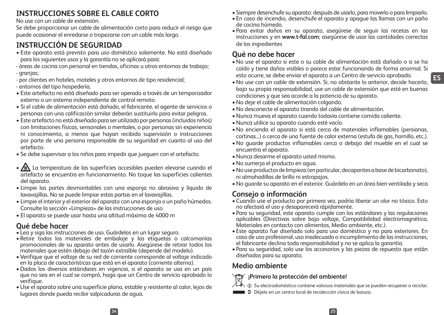## **INSTRUCCIONES SOBRE EL CABLE CORTO**

No use con un cable de extensión.

Se debe proporcionar un cable de alimentación corto para reducir el riesgo que puede ocasionar el enredarse o tropezarse con un cable más largo.

## **INSTRUCCIÓN DE SEGURIDAD**

- Este aparato está previsto para uso doméstico solamente. No está diseñado para los siguientes usos y la garantía no se aplicará para:
- áreas de cocina con personal en tiendas, oficinas u otros entornos de trabajo; - granjas;
- por clientes en hoteles, moteles y otros entornos de tipo residencial;
- entornos del tipo hospedería.
- Este artefacto no está diseñado para ser operado a través de un temporizador externo o un sistema independiente de control remoto.
- Si el cable de alimentación está dañado, el fabricante, el agente de servicios o personas con una calificación similar deberán sustituirlo para evitar peligros.
- Este artefacto no está diseñado para ser utilizado por personas (incluidos niños) con limitaciones físicas, sensoriales o mentales, o por personas sin experiencia ni conocimiento, a menos que hayan recibido supervisión o instrucciones por parte de una persona responsable de su seguridad en cuanto al uso del artefacto.
- Se debe supervisar a los niños para impedir que jueguen con el artefacto.
- $\sqrt{\mathbb{N}}$  La temperatura de las superficies accesibles pueden elevarse cuando el artefacto se encuentra en funcionamiento. No toque las superficies calientes del aparato.
- Limpie las partes desmontables con una esponja no abrasiva y líquido de lavavajillas. No se puede limpiar estas partas en el lavavajillas.
- Limpie el interior y el exterior del aparato con una esponja o un paño húmedos. Consulte la sección «Limpieza» de las instrucciones de uso.
- El aparato se puede usar hasta una altitud máxima de 4000 m

### **Qué debe hacer**

- Lea y siga las instrucciones de uso. Guárdelas en un lugar seguro.
- Retire todos los materiales de embalaje y las etiquetas o calcomanías promocionales de su aparato antes de usarlo. Asegúrese de retirar todos los materiales que estén debajo del tazón extraíble (depende del modelo).
- Verifique que el voltaje de su red de corriente corresponde al voltaje indicado en la placa de características que está en el aparato (corriente alterna).
- •Dados los diversos estándares en vigencia, si el aparato se usa en un país que no sea en el cual se compró, haga que un Centro de servicio aprobado lo verifique.
- •Use el aparato sobre una superficie plana, estable y resistente al calor, lejos de lugares donde pueda recibir salpicaduras de agua.
- Siempre desenchufe su aparato: después de usarlo, para moverlo o para limpiarlo.
- En caso de incendio, desenchufe el aparato y apague las llamas con un paño de cocina húmedo.
- Para evitar daños en su aparato, asegúrese de seguir las recetas en las instrucciones y en **www.t-fal.com**; asegúrese de usar las cantidades correctas de los ingredientes

### **Qué no debe hacer**

- •No use el aparato si este o su cable de alimentación está dañado o si se ha caído y tiene daños visibles o parece estar funcionando de forma anormal. Si esto ocurre, se debe enviar el aparato a un Centro de servicio aprobado.
- •No use con un cable de extensión. Si, no obstante lo anterior, decide hacerlo, bajo su propia responsabilidad, use un cable de extensión que esté en buenas condiciones y que sea acorde a la potencia de su aparato.
- •No deje el cable de alimentación colgando.
- •No desconecte el aparato tirando del cable de alimentación.
- •Nunca mueva el aparato cuando todavía contiene comida caliente.
- •Nunca utilice su aparato cuando esté vacío.
- •No encienda el aparato si está cerca de materiales inflamables (persianas, cortinas...) o cerca de una fuente de calor externa (estufa de gas, hornillo, etc.).
- •No guarde productos inflamables cerca o debajo del mueble en el cual se encuentra el aparato.
- •Nunca desarme el aparato usted mismo.
- •No sumerja el producto en agua.
- •No use productos de limpieza (en particular, decapantes a base de bicarbonato), ni almohadillas de brillo ni estropajos.
- •No guarde su aparato en el exterior. Guárdelo en un área bien ventilada y seca

### **Consejo o información**

- Cuando use el producto por primera vez, podría liberar un olor no tóxico. Esto no afectará el uso y desaparecerá rápidamente.
- Para su seguridad, este aparato cumple con los estándares y las regulaciones aplicables (Directivas sobre bajo voltaje, Compatibilidad electromagnética, Materiales en contacto con alimentos, Medio ambiente, etc.).
- Este aparato fue diseñado solo para uso doméstico y no para exteriores. En caso de uso profesional, uso inadecuado o incumplimiento de las instrucciones, el fabricante declina toda responsabilidad y no se aplica la garantía.
- Para su seguridad, solo use los accesorios y las piezas de repuesto que están diseñadas para su aparato.

## **Medio ambiente**

### **¡Primero la protección del ambiente!**

- $i$  Su electrodoméstico contiene valiosos materiales que se pueden recuperar o reciclar.
- Déjelo en un centro local de recolección cívica de basura.

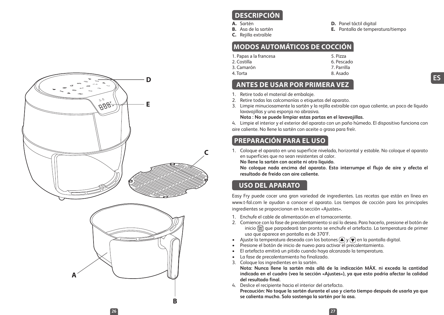

#### **DESCRIPCIÓN**

**A.** Sartén

3. Camarón 4. Torta

- **B.** Asa de la sartén
- **C.** Rejilla extraíble

**D.** Panel táctil digital

**E.** Pantalla de temperatura/tiempo

#### **MODOS AUTOMÁTICOS DE COCCIÓN**

1. Papas a la francesa 2. Costilla

- 5. Pizza 6. Pescado
- 7. Parrilla
- 8. Asado

#### **ANTES DE USAR POR PRIMERA VEZ**

- 1. Retire todo el material de embalaje.
- 2. Retire todas las calcomanías o etiquetas del aparato.
- 3. Limpie minuciosamente la sartén y la rejilla extraíble con agua caliente, un poco de líquido lavavajillas y una esponja no abrasiva.

#### **Nota : No se puede limpiar estas partas en el lavavajillas.**

4. Limpie el interior y el exterior del aparato con un paño húmedo. El dispositivo funciona con aire caliente. No llene la sartén con aceite o grasa para freír.

#### **PREPARACIÓN PARA EL USO**

1. Coloque el aparato en una superficie nivelada, horizontal y estable. No coloque el aparato en superficies que no sean resistentes al calor.

**No llene la sartén con aceite ni otro líquido.**

**No coloque nada encima del aparato. Esto interrumpe el flujo de aire y afecta el resultado de freído con aire caliente.**

#### **USO DEL APARATO**

Easy Fry puede cocer una gran variedad de ingredientes. Las recetas que están en línea en www.t-fal.com le ayudan a conocer el aparato. Los tiempos de cocción para los principales ingredientes se proporcionan en la sección «Ajustes».

- 1. Enchufe el cable de alimentación en el tomacorriente.
- 2. Comience con la fase de precalentamiento si así lo desea. Para hacerlo, presione el botón de inicio  $\frac{\text{start}}{\text{start}}$  que parpadeará tan pronto se enchufe el artefacto. La temperatura de primer uso que aparece en pantalla es de 370°F.
- Ajuste la temperatura deseada con los botones  $\left(\bigstar\right)$  y  $\left(\bigstar\right)$  en la pantalla digital.
- Presione el botón de inicio de nuevo para activar el precalentamiento.
- El artefacto emitirá un pitido cuando haya alcanzado la temperatura.
- La fase de precalentamiento ha finalizado.
- 3. Coloque los ingredientes en la sartén.

**Nota: Nunca llene la sartén más allá de la indicación MÁX. ni exceda la cantidad indicada en el cuadro (vea la sección «Ajustes»), ya que esto podría afectar la calidad del resultado final.**

4. Deslice el recipiente hacia el interior del artefacto.

**Precaución: No toque la sartén durante el uso y cierto tiempo después de usarla ya que se calienta mucho. Solo sostenga la sartén por la asa.**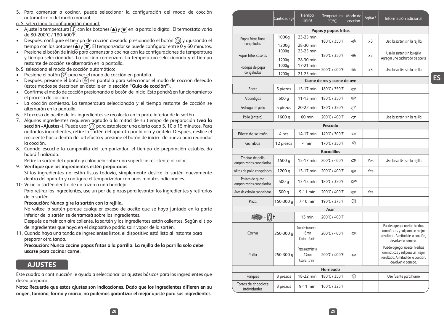5. Para comenzar a cocinar, puede seleccionar la configuración del modo de cocción automático o del modo manual.

a. Si selecciona la configuración manual:

- $\bullet$  Aiuste la temperatura  $\left(\widehat{\mathbf{f}}\right)$  con los botones  $\left(\bigstar\right)$  y  $\left(\bigstar\right)$  en la pantalla digital. El termostato varía de 80-200°C / 180-400°F.
- Después, configure el tiempo de cocción deseado presionando el botón  $\circled{z}$ ) y ajustando el tiempo con los botones  $\left(\bigstar\right)y$   $\left(\bigstar\right)$ . El temporizador se puede configurar entre 0 y 60 minutos.
- Presione el botón de inicio para comenzar a cocinar con las configuraciones de temperatura y tiempo seleccionadas. La cocción comenzará. La temperatura seleccionada y el tiempo restante de cocción se alternarán en la pantalla.

b. Si selecciona el modo de cocción automático:

- Presione el botón  $\circledR$  para ver el modo de cocción en pantalla.
- Después, presione el botón  $\circledR$  en pantalla para seleccionar el modo de cocción deseado (estos modos se describen en detalle en la **sección "Guía de cocción"**).
- Confirme el modo de cocción presionando el botón de inicio. Esto pondrá en funcionamiento el proceso de cocción.
- La cocción comienza. La temperatura seleccionada y el tiempo restante de cocción se alternarán en la pantalla.
- 6. El exceso de aceite de los ingredientes se recolecta en la parte inferior de la sartén
- 7. Algunos ingredientes requieren agitado a la mitad de su tiempo de preparación (**vea la**  sección «Ajustes»). Puede usar <sub>(2)</sub> para establecer una alerta cada 5, 10 o 15 minutos. Para agitar los ingredientes, retire la sartén del aparato por la asa y agítela. Después, deslice el recipiente hacia dentro del artefacto y presione el botón de inicio de nuevo para reanudar la cocción.
- 8.Cuando escuche la campanilla del temporizador, el tiempo de preparación establecido habrá finalizado.

Retire la sartén del aparato y colóquela sobre una superficie resistente al calor.

9. **Verifique que los ingredientes estén preparados.**

Si los ingredientes no están listos todavía, simplemente deslice la sartén nuevamente dentro del aparato y configure el temporizador con unos minutos adicionales.

10. Vacíe la sartén dentro de un tazón o una bandeja.

Para retirar los ingredientes, use un par de pinzas para levantar los ingredientes y retirarlos de la sartén.

#### **Precaución: Nunca gire la sartén con la rejilla.**

No voltee la sartén porque cualquier exceso de aceite que se haya juntado en la parte inferior de la sartén se derramará sobre los ingredientes.

Después de freír con aire caliente, la sartén y los ingredientes están calientes. Según el tipo de ingredientes que haya en el dispositivo podría salir vapor de la sartén.

11. Cuando haya una tanda de ingredientes listos, el dispositivo está listo al instante para preparar otra tanda.

**Precaución: Nunca cocine papas fritas a la parrilla. La rejilla de la parrilla solo debe usarse para cocinar carne.**

#### **AJUSTES**

Este cuadro a continuación le ayuda a seleccionar los ajustes básicos para los ingredientes que desea preparar.

**Nota: Recuerde que estos ajustes son indicaciones. Dado que los ingredientes difieren en su origen, tamaño, forma y marca, no podemos garantizar el mejor ajuste para sus ingredientes.**

|                                             | Cantidad (g) | Tiempo<br>(min)                                  | Temperatura<br>$(^{\circ}F/^{\circ}C)$ | Modo de<br>cocción                                | Agitar *                     | Información adicional                                                                                                       |
|---------------------------------------------|--------------|--------------------------------------------------|----------------------------------------|---------------------------------------------------|------------------------------|-----------------------------------------------------------------------------------------------------------------------------|
|                                             |              |                                                  | Papas y papas fritas                   |                                                   |                              |                                                                                                                             |
| Papas fritas finas                          | 1000g        | 23-25 min                                        | 180°C / 350°F<br>÷.                    |                                                   | x3                           | Usa la sartén sin la rejilla                                                                                                |
| congeladas                                  | 1200g        | 28-30 min                                        |                                        |                                                   |                              |                                                                                                                             |
| Papas fritas caseras                        | 1000g        | 23-25 min                                        | 180°C / 350°F                          | s.<br>x3                                          | Use la sartén sin la rejilla |                                                                                                                             |
|                                             | 1200g        | 28-30 min<br>17-21 min                           |                                        |                                                   |                              | Agregar une cucharada de aceite                                                                                             |
| Rodajas de papa<br>congeladas               | 1000g        |                                                  | 200°C / 400°F                          | s.                                                | x3                           | Usa la sartén sin la rejilla                                                                                                |
|                                             | 1200g        | 21-25 min                                        | Carne de res y carne de ave            |                                                   |                              |                                                                                                                             |
| <b>Bistec</b>                               | 5 piezas     | 15-17 min                                        | 180°C / 350°F                          | e                                                 |                              |                                                                                                                             |
|                                             |              |                                                  |                                        |                                                   |                              |                                                                                                                             |
| Albóndigas                                  | 600 g        | 11-13 min                                        | 180°C / 350°F                          | ø                                                 |                              |                                                                                                                             |
| Pechuga de pollo                            | 5 piezas     | 20-22 min                                        | 180°C / 350°F                          | $\sigma$                                          |                              |                                                                                                                             |
| Pollo (entero)                              | 1600 g       | 60 min                                           | 200°C / 400°F                          | σ                                                 |                              | Use la sartén sin la rejilla                                                                                                |
|                                             |              |                                                  | Pescado                                |                                                   |                              |                                                                                                                             |
| Filete de salmón                            | 4 pcs        | 14-17 min                                        | 140°C / 300°F                          | $\scriptstyle\mathrel{\mathop{\curvearrowright}}$ |                              |                                                                                                                             |
| Gambas                                      | 12 piezas    | 4 min                                            | 170°C / 350°F                          | ☜                                                 |                              |                                                                                                                             |
|                                             |              |                                                  | <b>Bocadillos</b>                      |                                                   |                              |                                                                                                                             |
| Trocitos de pollo<br>empanizados congelados | 1500 g       | 15-17 min                                        | 200°C / 400°F                          | ø                                                 | Yes                          | Use la sartén sin la rejilla                                                                                                |
| Alitas de pollo congeladas                  | 1200 g       | 15-17 min                                        | 200°C / 400°F                          | Ø                                                 | Yes                          |                                                                                                                             |
| Palitos de queso<br>empanizados congelados  | 500 g        | 13-15 min                                        | 180°C / 350°F                          | రా                                                |                              |                                                                                                                             |
| Aros de cebolla congelados                  | 500 g        | 9-11 min                                         | 200°C / 400°F                          | Ø                                                 | Yes                          |                                                                                                                             |
| Pizza                                       | 150-300 g    | 7-10 min                                         | 190°C / 375°F                          | ങ                                                 |                              |                                                                                                                             |
|                                             |              |                                                  | Asar                                   |                                                   |                              |                                                                                                                             |
| <b>1999 - U</b> t                           |              | 13 min                                           | 200°C / 400°F                          |                                                   |                              |                                                                                                                             |
| Carne                                       | 250-300 g    | Precalentamiento:<br>13 min<br>Cocingr: 3 min    | 200°C / 400°F                          | Ø                                                 |                              | Puede agregar aceite, hierbas<br>aromáticas y sal para un mejor<br>resultado. A mitad de la cocción.<br>devolver la comida. |
| Pollo                                       | 250-300 a    | Precalentamiento<br>$: 13$ min<br>Cocinar: 7 min | 200°C / 400°F                          | e                                                 |                              | Puede agregar aceite, hierbas<br>aromáticas y sal para un mejor<br>resultado. A mitad de la cocción.<br>devolver la comida. |
| Horneado                                    |              |                                                  |                                        |                                                   |                              |                                                                                                                             |
| Pangués                                     | 8 piezas     | 18-22 min                                        | 180°C / 350°F                          | क़                                                |                              | Use fuente para horno                                                                                                       |
| Tortas de chocolate<br>individuales         | 8 piezas     | 9-11 min                                         | 160°C / 325°F                          |                                                   |                              |                                                                                                                             |

**ES**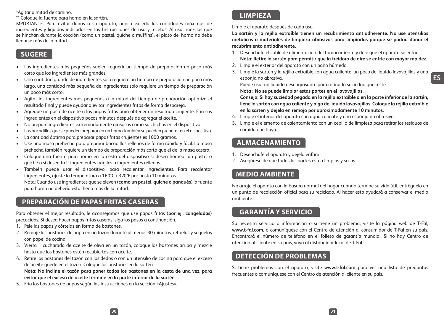\*Agitar a mitad de camino.

\*\* Coloque la fuente para horno en la sartén.

MPORTANTE: Para evitar daños a su aparato, nunca exceda las cantidades máximas de ingredientes y líquidos indicados en las Instrucciones de uso y recetas. Al usar mezclas que se hinchan durante la cocción (como un pastel, quiche o muffins), el plato del horno no debe llenarse más de la mitad.

#### **SUGERE**

- Los ingredientes más pequeños suelen requerir un tiempo de preparación un poco más corto que los ingredientes más grandes.
- Una cantidad grande de ingredientes solo requiere un tiempo de preparación un poco más largo, una cantidad más pequeña de ingredientes solo requiere un tiempo de preparación un poco más corto.
- Agitar los ingredientes más pequeños a la mitad del tiempo de preparación optimiza el resultado final y puede ayudar a evitar ingredientes fritos de forma despareja.
- Agregue un poco de aceite a las papas fritas para obtener un resultado crujiente. Fría sus ingredientes en el dispositivo pocos minutos después de agregar el aceite.
- No prepare ingredientes extremadamente grasosos como salchichas en el dispositivo.
- Los bocadillos que se pueden preparar en un horno también se pueden preparar en el dispositivo.
- La cantidad óptima para preparar papas fritas crujientes es 1000 gramos.
- Use una masa prehecha para preparar bocadillos rellenos de forma rápida y fácil. La masa prehecha también requiere un tiempo de preparación más corto que el de la masa casera.
- Coloque una fuente para horno en la cesta del dispositivo si desea hornear un pastel o quiche o si desea freír ingredientes frágiles o ingredientes rellenos.
- También puede usar el dispositivo. para recalentar ingredientes. Para recalentar ingredientes, ajuste la temperatura a 160°C / 320°F por hasta 10 minutos. Nota: Cuando use ingredientes que se eleven (**como un pastel, quiche o panqués**) la fuente para horno no debería estar llena más de la mitad.

#### **PREPARACIÓN DE PAPAS FRITAS CASERAS**

Para obtener el mejor resultado, le aconsejamos que use papas fritas (**por ej., congeladas**) precocidas. Si desea hacer papas fritas caseras, siga los pasos a continuación.

- 1. Pele las papas y córtelas en forma de bastones.
- 2. Remoje los bastones de papa en un tazón durante al menos 30 minutos, retírelas y séquelas con papel de cocina.
- 3. Vierta 1 cucharada de aceite de oliva en un tazón, coloque los bastones arriba y mezcle hasta que los bastones estén recubiertos con aceite.
- 4. Retire los bastones del tazón con los dedos o con un utensilio de cocina para que el exceso de aceite quede en el tazón. Coloque los bastones en la sartén

**Nota: No incline el tazón para poner todos los bastones en la cesta de una vez, para evitar que el exceso de aceite termine en la parte inferior de la sartén.**

5. Fría los bastones de papas según las instrucciones en la sección «Ajustes».

#### **LIMPIEZA**

Limpie el aparato después de cada uso.

**La sartén y la rejilla extraíble tienen un recubrimiento antiadherente. No use utensilios metálicos o materiales de limpieza abrasivos para limpiarlas porque se podría dañar el recubrimiento antiadherente.**

- 1. Desenchufe el cable de alimentación del tomacorriente y deje que el aparato se enfríe. **Nota: Retire la sartén para permitir que la freidora de aire se enfríe con mayor rapidez.**
- 2. Limpie el exterior del aparato con un paño húmedo.
- 3. Limpie la sartén y la rejilla extraíble con agua caliente, un poco de líquido lavavajillas y una esponja no abrasiva.

Puede usar un líquido desengrasante para retirar la suciedad que reste

**Nota : No se puede limpiar estas partes en el lavavajillas.**

**Consejo: Si hay suciedad pegada en la rejilla extraíble o en la parte inferior de la sartén, llene la sartén con agua caliente y algo de líquido lavavajillas. Coloque la rejilla extraíble en la sartén y déjela en remojo por aproximadamente 10 minutos.**

- 4. Limpie el interior del aparato con agua caliente y una esponja no abrasiva.
- 5. Limpie el elemento de calentamiento con un cepillo de limpieza para retirar los residuos de comida que haya.

#### **ALMACENAMIENTO**

- 1. Desenchufe el aparato y déjelo enfriar.
- 2. Asegúrese de que todas las partes estén limpias y secas.

#### **MEDIO AMBIENTE**

No arroje el aparato con la basura normal del hogar cuando termine su vida útil, entréguelo en un punto de recolección oficial para su reciclado. Al hacer esto ayudará a conservar el medio ambiente.

#### **GARANTÍA Y SERVICIO**

Su necesita servicio o información o si tiene un problema, visite la página web de T-Fal, **www.t-fal.com**, o comuníquese con el Centro de atención al consumidor de T-Fal en su país. Encontrará el número de teléfono en el folleto de garantía mundial. Si no hay Centro de atención al cliente en su país, vaya al distribuidor local de T-Fal.

#### **DETECCIÓN DE PROBLEMAS**

Si tiene problemas con el aparato, visite **www.t-fal.com** para ver una lista de preguntas frecuentes o comuníquese con el Centro de atención al cliente en su paίs.

**ES**